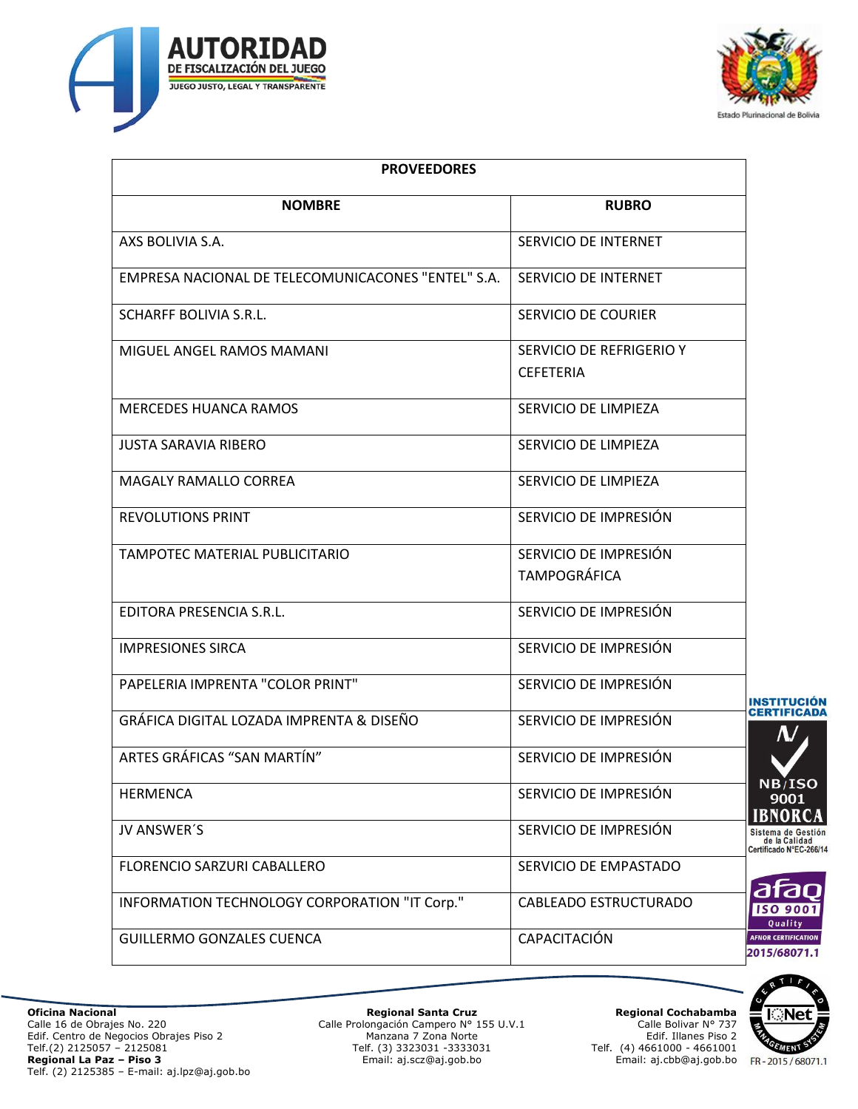



| <b>PROVEEDORES</b>                                 |                                              |                             |
|----------------------------------------------------|----------------------------------------------|-----------------------------|
| <b>NOMBRE</b>                                      | <b>RUBRO</b>                                 |                             |
| AXS BOLIVIA S.A.                                   | SERVICIO DE INTERNET                         |                             |
| EMPRESA NACIONAL DE TELECOMUNICACONES "ENTEL" S.A. | SERVICIO DE INTERNET                         |                             |
| <b>SCHARFF BOLIVIA S.R.L.</b>                      | SERVICIO DE COURIER                          |                             |
| MIGUEL ANGEL RAMOS MAMANI                          | SERVICIO DE REFRIGERIO Y<br><b>CEFETERIA</b> |                             |
| <b>MERCEDES HUANCA RAMOS</b>                       | SERVICIO DE LIMPIEZA                         |                             |
| <b>JUSTA SARAVIA RIBERO</b>                        | SERVICIO DE LIMPIEZA                         |                             |
| MAGALY RAMALLO CORREA                              | SERVICIO DE LIMPIEZA                         |                             |
| <b>REVOLUTIONS PRINT</b>                           | SERVICIO DE IMPRESIÓN                        |                             |
| TAMPOTEC MATERIAL PUBLICITARIO                     | SERVICIO DE IMPRESIÓN<br><b>TAMPOGRÁFICA</b> |                             |
| EDITORA PRESENCIA S.R.L.                           | SERVICIO DE IMPRESIÓN                        |                             |
| <b>IMPRESIONES SIRCA</b>                           | SERVICIO DE IMPRESIÓN                        |                             |
| PAPELERIA IMPRENTA "COLOR PRINT"                   | SERVICIO DE IMPRESIÓN                        |                             |
| GRÁFICA DIGITAL LOZADA IMPRENTA & DISEÑO           | SERVICIO DE IMPRESIÓN                        | <b>INS</b><br>CEI           |
| ARTES GRÁFICAS "SAN MARTÍN"                        | SERVICIO DE IMPRESIÓN                        |                             |
| <b>HERMENCA</b>                                    | SERVICIO DE IMPRESIÓN                        | N                           |
| JV ANSWER'S                                        | SERVICIO DE IMPRESIÓN                        | IB<br><b>Sist</b><br>Certif |
| FLORENCIO SARZURI CABALLERO                        | SERVICIO DE EMPASTADO                        |                             |
| INFORMATION TECHNOLOGY CORPORATION "IT Corp."      | CABLEADO ESTRUCTURADO                        | 3<br>Œ                      |
| <b>GUILLERMO GONZALES CUENCA</b>                   | CAPACITACIÓN                                 | <b>AFNO</b><br>201          |

**Regional Santa Cruz** Calle Prolongación Campero N° 155 U.V.1 Manzana 7 Zona Norte Telf. (3) 3323031 -3333031 Email: aj.scz@aj.gob.bo

**Regional Cochabamba** Calle Bolivar N° 737 Edif. Illanes Piso 2 Telf. (4) 4661000 - 4661001 Email: aj.cbb@aj.gob.bo



 $B/ISO$ 9001 **NORCA** ema de Gestión<br>de la Calidad<br>ficado N°EC-266/14



**COLLEGE** 

**K**Net

GEMENT FR-2015/68071.1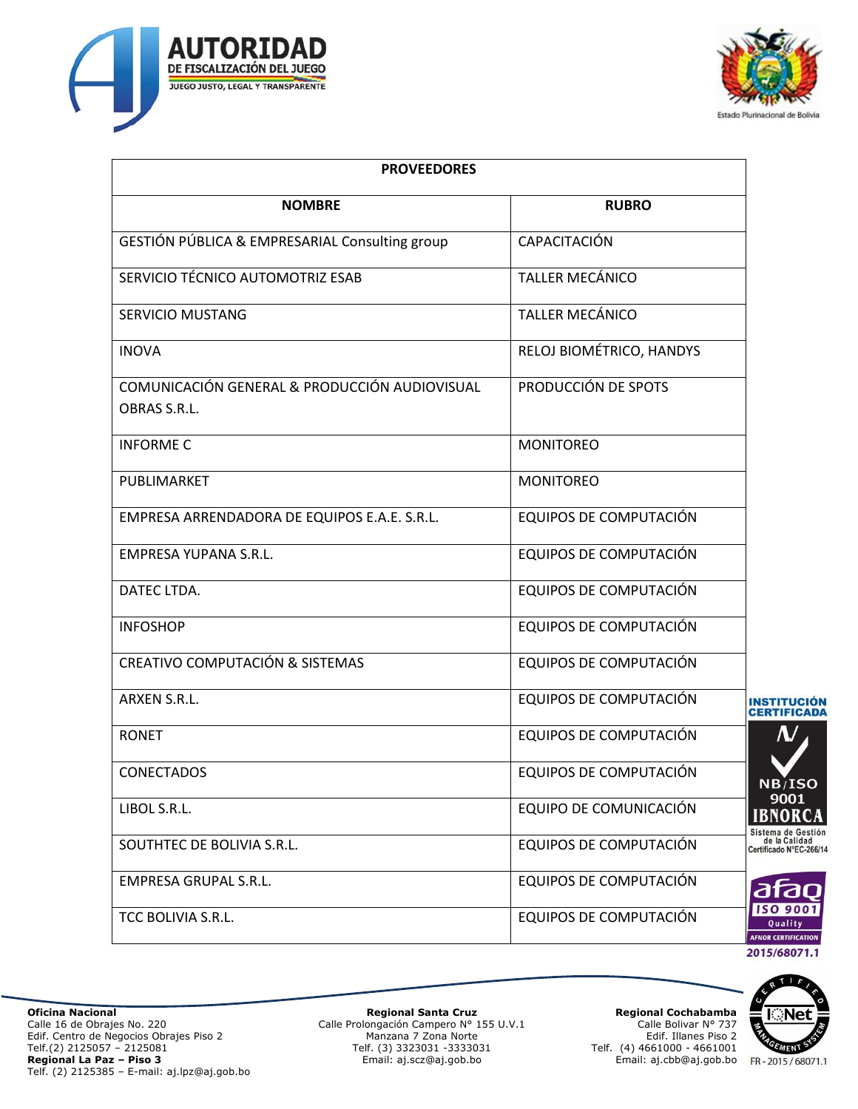



| <b>PROVEEDORES</b>                                            |                          |                                                                |
|---------------------------------------------------------------|--------------------------|----------------------------------------------------------------|
| <b>NOMBRE</b>                                                 | <b>RUBRO</b>             |                                                                |
| GESTIÓN PÚBLICA & EMPRESARIAL Consulting group                | <b>CAPACITACIÓN</b>      |                                                                |
| SERVICIO TÉCNICO AUTOMOTRIZ ESAB                              | <b>TALLER MECÁNICO</b>   |                                                                |
| <b>SERVICIO MUSTANG</b>                                       | <b>TALLER MECÁNICO</b>   |                                                                |
| <b>INOVA</b>                                                  | RELOJ BIOMÉTRICO, HANDYS |                                                                |
| COMUNICACIÓN GENERAL & PRODUCCIÓN AUDIOVISUAL<br>OBRAS S.R.L. | PRODUCCIÓN DE SPOTS      |                                                                |
| <b>INFORME C</b>                                              | <b>MONITOREO</b>         |                                                                |
| PUBLIMARKET                                                   | <b>MONITOREO</b>         |                                                                |
| EMPRESA ARRENDADORA DE EQUIPOS E.A.E. S.R.L.                  | EQUIPOS DE COMPUTACIÓN   |                                                                |
| <b>EMPRESA YUPANA S.R.L.</b>                                  | EQUIPOS DE COMPUTACIÓN   |                                                                |
| DATEC LTDA.                                                   | EQUIPOS DE COMPUTACIÓN   |                                                                |
| <b>INFOSHOP</b>                                               | EQUIPOS DE COMPUTACIÓN   |                                                                |
| CREATIVO COMPUTACIÓN & SISTEMAS                               | EQUIPOS DE COMPUTACIÓN   |                                                                |
| ARXEN S.R.L.                                                  | EQUIPOS DE COMPUTACIÓN   | <b>INSTITUCION</b>                                             |
| <b>RONET</b>                                                  | EQUIPOS DE COMPUTACIÓN   | Λ.                                                             |
| <b>CONECTADOS</b>                                             | EQUIPOS DE COMPUTACIÓN   | NB/ISO                                                         |
| LIBOL S.R.L.                                                  | EQUIPO DE COMUNICACIÓN   | 9001<br><b>IBNORCA</b>                                         |
| SOUTHTEC DE BOLIVIA S.R.L.                                    | EQUIPOS DE COMPUTACIÓN   | Sistema de Gestión<br>de la Calidad<br>Certificado N°EC-266/14 |
| <b>EMPRESA GRUPAL S.R.L.</b>                                  | EQUIPOS DE COMPUTACIÓN   | afao                                                           |
| TCC BOLIVIA S.R.L.                                            | EQUIPOS DE COMPUTACIÓN   | <b>ISO 9001</b><br>Quality<br><b>AFNOR CERTIFICATION</b>       |
|                                                               |                          | 2015/68071.1                                                   |



**Oficina Nacional**  Calle 16 de Obrajes No. 220 Edif. Centro de Negocios Obrajes Piso 2 Telf.(2) 2125057 – 2125081 **Regional La Paz – Piso 3** Telf. (2) 2125385 – E-mail: aj.lpz@aj.gob.bo

**Regional Santa Cruz** Calle Prolongación Campero N° 155 U.V.1 Manzana 7 Zona Norte Telf. (3) 3323031 -3333031 Email: aj.scz@aj.gob.bo

**Regional Cochabamba** Calle Bolivar N° 737 Edif. Illanes Piso 2 Telf. (4) 4661000 - 4661001 Email: aj.cbb@aj.gob.bo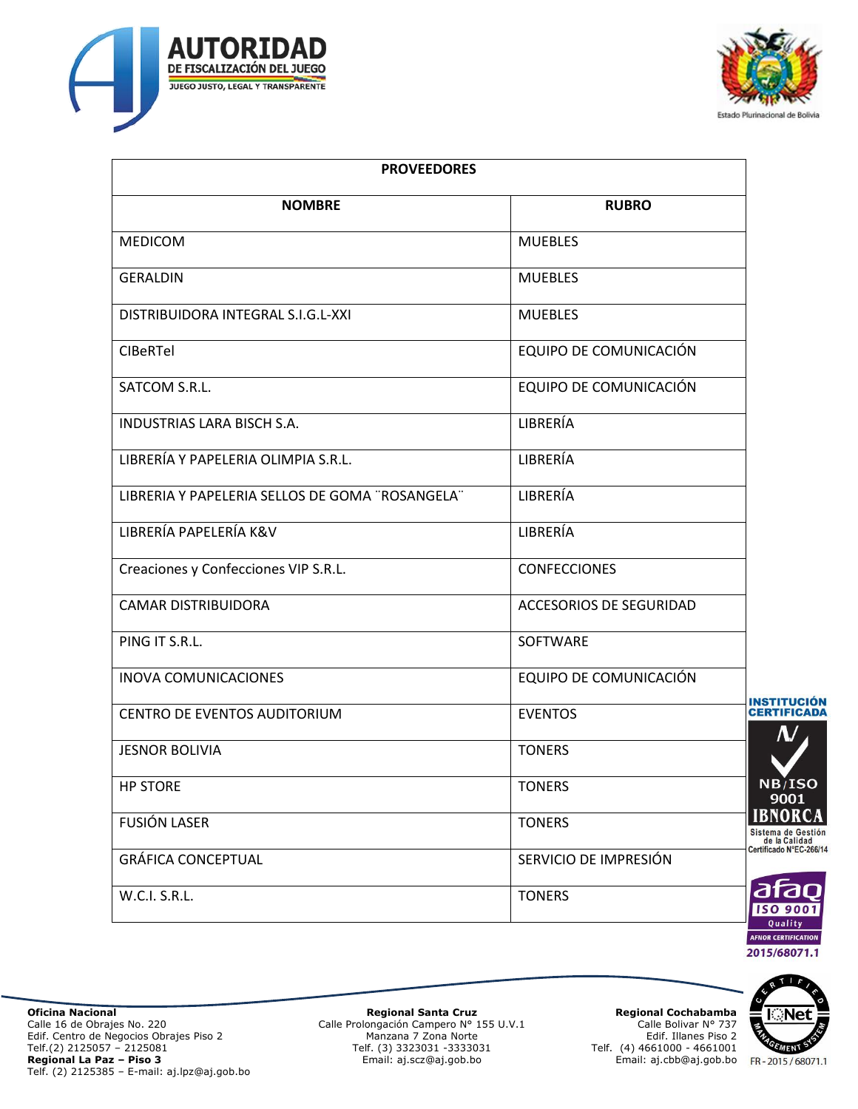



| <b>PROVEEDORES</b>                              |                                |                   |
|-------------------------------------------------|--------------------------------|-------------------|
| <b>NOMBRE</b>                                   | <b>RUBRO</b>                   |                   |
| <b>MEDICOM</b>                                  | <b>MUEBLES</b>                 |                   |
| <b>GERALDIN</b>                                 | <b>MUEBLES</b>                 |                   |
| DISTRIBUIDORA INTEGRAL S.I.G.L-XXI              | <b>MUEBLES</b>                 |                   |
| <b>CIBeRTel</b>                                 | EQUIPO DE COMUNICACIÓN         |                   |
| SATCOM S.R.L.                                   | EQUIPO DE COMUNICACIÓN         |                   |
| <b>INDUSTRIAS LARA BISCH S.A.</b>               | LIBRERÍA                       |                   |
| LIBRERÍA Y PAPELERIA OLIMPIA S.R.L.             | LIBRERÍA                       |                   |
| LIBRERIA Y PAPELERIA SELLOS DE GOMA "ROSANGELA" | LIBRERÍA                       |                   |
| LIBRERÍA PAPELERÍA K&V                          | LIBRERÍA                       |                   |
| Creaciones y Confecciones VIP S.R.L.            | <b>CONFECCIONES</b>            |                   |
| <b>CAMAR DISTRIBUIDORA</b>                      | <b>ACCESORIOS DE SEGURIDAD</b> |                   |
| PING IT S.R.L.                                  | SOFTWARE                       |                   |
| <b>INOVA COMUNICACIONES</b>                     | EQUIPO DE COMUNICACIÓN         |                   |
| CENTRO DE EVENTOS AUDITORIUM                    | <b>EVENTOS</b>                 | IN:<br><b>CE</b>  |
| <b>JESNOR BOLIVIA</b>                           | <b>TONERS</b>                  |                   |
| <b>HP STORE</b>                                 | <b>TONERS</b>                  | r                 |
| <b>FUSIÓN LASER</b>                             | <b>TONERS</b>                  | II<br><b>Sist</b> |
| <b>GRÁFICA CONCEPTUAL</b>                       | SERVICIO DE IMPRESIÓN          | Certi             |
| W.C.I. S.R.L.                                   | <b>TONERS</b>                  | C<br>B            |
|                                                 |                                |                   |



 $B/ISO$ 9001 **SNORCA** tema de Gestión<br>de la Calidad<br>ificado N°EC-266/14



RT

**Regional Santa Cruz** Calle Prolongación Campero N° 155 U.V.1 Manzana 7 Zona Norte Telf. (3) 3323031 -3333031 Email: aj.scz@aj.gob.bo

**Regional Cochabamba** Calle Bolivar N° 737 Edif. Illanes Piso 2 Telf. (4) 4661000 - 4661001 Email: aj.cbb@aj.gob.bo

GEMENT FR-2015/68071.1

**KONet**